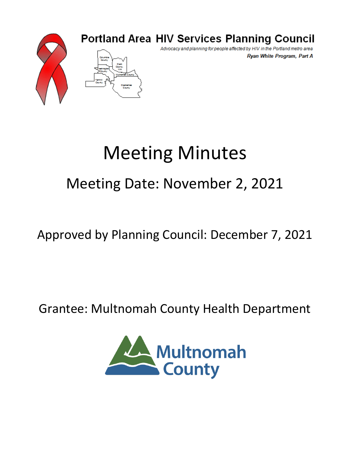

### **Portland Area HIV Services Planning Council**

Advocacy and planning for people affected by HIV in the Portland metro area Ryan White Program, Part A

# Meeting Minutes

## Meeting Date: November 2, 2021

## Approved by Planning Council: December 7, 2021

## Grantee: Multnomah County Health Department

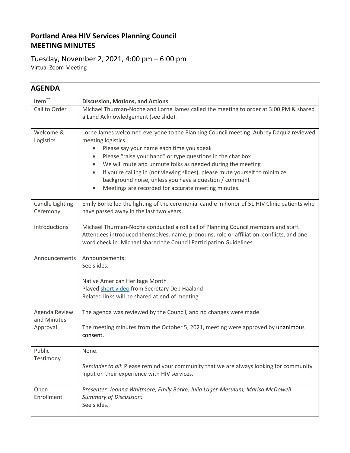#### **Portland Area HIV Services Planning Council MEETING MINUTES**

Tuesday, November 2, 2021, 4:00 pm – 6:00 pm Virtual Zoom Meeting

#### **AGENDA**

| Item $\overline{\mathbf{r}^*}$           | <b>Discussion, Motions, and Actions</b>                                                                                                                                                                                                                                                                                                                                                                                                                                                                    |  |  |  |  |  |
|------------------------------------------|------------------------------------------------------------------------------------------------------------------------------------------------------------------------------------------------------------------------------------------------------------------------------------------------------------------------------------------------------------------------------------------------------------------------------------------------------------------------------------------------------------|--|--|--|--|--|
| Call to Order                            | Michael Thurman-Noche and Lorne James called the meeting to order at 3:00 PM & shared<br>a Land Acknowledgement (see slide).                                                                                                                                                                                                                                                                                                                                                                               |  |  |  |  |  |
| Welcome &<br>Logistics                   | Lorne James welcomed everyone to the Planning Council meeting. Aubrey Daquiz reviewed<br>meeting logistics.<br>Please say your name each time you speak<br>٠<br>Please "raise your hand" or type questions in the chat box<br>٠<br>We will mute and unmute folks as needed during the meeting<br>If you're calling in (not viewing slides), please mute yourself to minimize<br>background noise, unless you have a question / comment<br>Meetings are recorded for accurate meeting minutes.<br>$\bullet$ |  |  |  |  |  |
| Candle Lighting<br>Ceremony              | Emily Borke led the lighting of the ceremonial candle in honor of 51 HIV Clinic patients who<br>have passed away in the last two years.                                                                                                                                                                                                                                                                                                                                                                    |  |  |  |  |  |
| <b>Introductions</b>                     | Michael Thurman-Noche conducted a roll call of Planning Council members and staff.<br>Attendees introduced themselves: name, pronouns, role or affiliation, conflicts, and one<br>word check in. Michael shared the Council Participation Guidelines.                                                                                                                                                                                                                                                      |  |  |  |  |  |
| Announcements                            | Announcements:<br>See slides.<br>Native American Heritage Month<br>Played short video from Secretary Deb Haaland<br>Related links will be shared at end of meeting                                                                                                                                                                                                                                                                                                                                         |  |  |  |  |  |
| Agenda Review<br>and Minutes<br>Approval | The agenda was reviewed by the Council, and no changes were made.<br>The meeting minutes from the October 5, 2021, meeting were approved by unanimous<br>consent.                                                                                                                                                                                                                                                                                                                                          |  |  |  |  |  |
| Public<br>Testimony                      | None.<br>Reminder to all: Please remind your community that we are always looking for community<br>input on their experience with HIV services.                                                                                                                                                                                                                                                                                                                                                            |  |  |  |  |  |
| Open<br>Enrollment                       | Presenter: Joanna Whitmore, Emily Borke, Julia Lager-Mesulam, Marisa McDowell<br><b>Summary of Discussion:</b><br>See slides.                                                                                                                                                                                                                                                                                                                                                                              |  |  |  |  |  |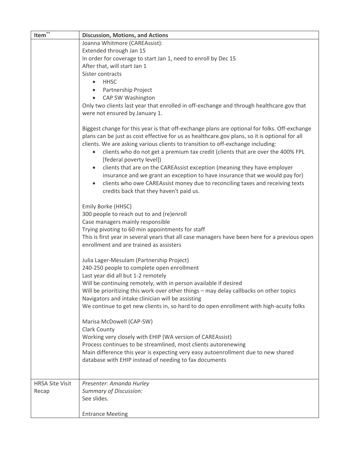| Item**                 | <b>Discussion, Motions, and Actions</b>                                                                                                  |  |  |  |  |  |  |  |
|------------------------|------------------------------------------------------------------------------------------------------------------------------------------|--|--|--|--|--|--|--|
|                        | Joanna Whitmore (CAREAssist):                                                                                                            |  |  |  |  |  |  |  |
|                        | Extended through Jan 15                                                                                                                  |  |  |  |  |  |  |  |
|                        | In order for coverage to start Jan 1, need to enroll by Dec 15                                                                           |  |  |  |  |  |  |  |
|                        | After that, will start Jan 1                                                                                                             |  |  |  |  |  |  |  |
|                        | Sister contracts                                                                                                                         |  |  |  |  |  |  |  |
|                        | <b>HHSC</b><br>$\bullet$                                                                                                                 |  |  |  |  |  |  |  |
|                        | Partnership Project                                                                                                                      |  |  |  |  |  |  |  |
|                        | CAP SW Washington                                                                                                                        |  |  |  |  |  |  |  |
|                        | Only two clients last year that enrolled in off-exchange and through healthcare.gov that                                                 |  |  |  |  |  |  |  |
|                        | were not ensured by January 1.                                                                                                           |  |  |  |  |  |  |  |
|                        |                                                                                                                                          |  |  |  |  |  |  |  |
|                        | Biggest change for this year is that off-exchange plans are optional for folks. Off-exchange                                             |  |  |  |  |  |  |  |
|                        | plans can be just as cost effective for us as healthcare.gov plans, so it is optional for all                                            |  |  |  |  |  |  |  |
|                        | clients. We are asking various clients to transition to off-exchange including:                                                          |  |  |  |  |  |  |  |
|                        | clients who do not get a premium tax credit (clients that are over the 400% FPL                                                          |  |  |  |  |  |  |  |
|                        | [federal poverty level])                                                                                                                 |  |  |  |  |  |  |  |
|                        | clients that are on the CAREAssist exception (meaning they have employer                                                                 |  |  |  |  |  |  |  |
|                        | insurance and we grant an exception to have insurance that we would pay for)                                                             |  |  |  |  |  |  |  |
|                        | clients who owe CAREAssist money due to reconciling taxes and receiving texts                                                            |  |  |  |  |  |  |  |
|                        | credits back that they haven't paid us.                                                                                                  |  |  |  |  |  |  |  |
|                        |                                                                                                                                          |  |  |  |  |  |  |  |
|                        | Emily Borke (HHSC)                                                                                                                       |  |  |  |  |  |  |  |
|                        | 300 people to reach out to and (re)enroll                                                                                                |  |  |  |  |  |  |  |
|                        | Case managers mainly responsible                                                                                                         |  |  |  |  |  |  |  |
|                        | Trying pivoting to 60 min appointments for staff                                                                                         |  |  |  |  |  |  |  |
|                        | This is first year in several years that all case managers have been here for a previous open<br>enrollment and are trained as assisters |  |  |  |  |  |  |  |
|                        |                                                                                                                                          |  |  |  |  |  |  |  |
|                        | Julia Lager-Mesulam (Partnership Project)                                                                                                |  |  |  |  |  |  |  |
|                        | 240-250 people to complete open enrollment                                                                                               |  |  |  |  |  |  |  |
|                        | Last year did all but 1-2 remotely                                                                                                       |  |  |  |  |  |  |  |
|                        | Will be continuing remotely, with in person available if desired                                                                         |  |  |  |  |  |  |  |
|                        | Will be prioritizing this work over other things - may delay callbacks on other topics                                                   |  |  |  |  |  |  |  |
|                        | Navigators and intake clinician will be assisting                                                                                        |  |  |  |  |  |  |  |
|                        | We continue to get new clients in, so hard to do open enrollment with high-acuity folks                                                  |  |  |  |  |  |  |  |
|                        |                                                                                                                                          |  |  |  |  |  |  |  |
|                        | Marisa McDowell (CAP-SW)                                                                                                                 |  |  |  |  |  |  |  |
|                        | Clark County                                                                                                                             |  |  |  |  |  |  |  |
|                        | Working very closely with EHIP (WA version of CAREAssist)                                                                                |  |  |  |  |  |  |  |
|                        | Process continues to be streamlined, most clients autorenewing                                                                           |  |  |  |  |  |  |  |
|                        | Main difference this year is expecting very easy autoenrollment due to new shared                                                        |  |  |  |  |  |  |  |
|                        | database with EHIP instead of needing to fax documents                                                                                   |  |  |  |  |  |  |  |
|                        |                                                                                                                                          |  |  |  |  |  |  |  |
| <b>HRSA Site Visit</b> |                                                                                                                                          |  |  |  |  |  |  |  |
| Recap                  | Presenter: Amanda Hurley<br><b>Summary of Discussion:</b>                                                                                |  |  |  |  |  |  |  |
|                        | See slides.                                                                                                                              |  |  |  |  |  |  |  |
|                        |                                                                                                                                          |  |  |  |  |  |  |  |
|                        | <b>Entrance Meeting</b>                                                                                                                  |  |  |  |  |  |  |  |
|                        |                                                                                                                                          |  |  |  |  |  |  |  |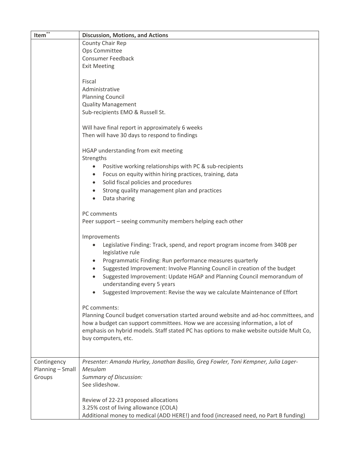| Item $\overline{\mathbf{r}^*}$ | <b>Discussion, Motions, and Actions</b>                                                 |  |  |  |  |  |  |  |
|--------------------------------|-----------------------------------------------------------------------------------------|--|--|--|--|--|--|--|
|                                | County Chair Rep                                                                        |  |  |  |  |  |  |  |
|                                | Ops Committee                                                                           |  |  |  |  |  |  |  |
|                                | <b>Consumer Feedback</b>                                                                |  |  |  |  |  |  |  |
|                                | <b>Exit Meeting</b>                                                                     |  |  |  |  |  |  |  |
|                                |                                                                                         |  |  |  |  |  |  |  |
|                                | Fiscal                                                                                  |  |  |  |  |  |  |  |
|                                | Administrative                                                                          |  |  |  |  |  |  |  |
|                                | <b>Planning Council</b>                                                                 |  |  |  |  |  |  |  |
|                                | <b>Quality Management</b>                                                               |  |  |  |  |  |  |  |
|                                | Sub-recipients EMO & Russell St.                                                        |  |  |  |  |  |  |  |
|                                |                                                                                         |  |  |  |  |  |  |  |
|                                | Will have final report in approximately 6 weeks                                         |  |  |  |  |  |  |  |
|                                | Then will have 30 days to respond to findings                                           |  |  |  |  |  |  |  |
|                                |                                                                                         |  |  |  |  |  |  |  |
|                                | HGAP understanding from exit meeting                                                    |  |  |  |  |  |  |  |
|                                | Strengths                                                                               |  |  |  |  |  |  |  |
|                                | Positive working relationships with PC & sub-recipients<br>$\bullet$                    |  |  |  |  |  |  |  |
|                                | Focus on equity within hiring practices, training, data<br>٠                            |  |  |  |  |  |  |  |
|                                | Solid fiscal policies and procedures<br>$\bullet$                                       |  |  |  |  |  |  |  |
|                                | Strong quality management plan and practices                                            |  |  |  |  |  |  |  |
|                                | Data sharing                                                                            |  |  |  |  |  |  |  |
|                                |                                                                                         |  |  |  |  |  |  |  |
|                                | PC comments                                                                             |  |  |  |  |  |  |  |
|                                | Peer support - seeing community members helping each other                              |  |  |  |  |  |  |  |
|                                |                                                                                         |  |  |  |  |  |  |  |
|                                | Improvements                                                                            |  |  |  |  |  |  |  |
|                                | Legislative Finding: Track, spend, and report program income from 340B per<br>٠         |  |  |  |  |  |  |  |
|                                | legislative rule                                                                        |  |  |  |  |  |  |  |
|                                | Programmatic Finding: Run performance measures quarterly                                |  |  |  |  |  |  |  |
|                                | Suggested Improvement: Involve Planning Council in creation of the budget               |  |  |  |  |  |  |  |
|                                | Suggested Improvement: Update HGAP and Planning Council memorandum of                   |  |  |  |  |  |  |  |
|                                | understanding every 5 years                                                             |  |  |  |  |  |  |  |
|                                | Suggested Improvement: Revise the way we calculate Maintenance of Effort                |  |  |  |  |  |  |  |
|                                | PC comments:                                                                            |  |  |  |  |  |  |  |
|                                | Planning Council budget conversation started around website and ad-hoc committees, and  |  |  |  |  |  |  |  |
|                                | how a budget can support committees. How we are accessing information, a lot of         |  |  |  |  |  |  |  |
|                                | emphasis on hybrid models. Staff stated PC has options to make website outside Mult Co, |  |  |  |  |  |  |  |
|                                | buy computers, etc.                                                                     |  |  |  |  |  |  |  |
|                                |                                                                                         |  |  |  |  |  |  |  |
|                                |                                                                                         |  |  |  |  |  |  |  |
| Contingency                    | Presenter: Amanda Hurley, Jonathan Basilio, Greg Fowler, Toni Kempner, Julia Lager-     |  |  |  |  |  |  |  |
| Planning - Small               | Mesulam                                                                                 |  |  |  |  |  |  |  |
| Groups                         | <b>Summary of Discussion:</b>                                                           |  |  |  |  |  |  |  |
|                                | See slideshow.                                                                          |  |  |  |  |  |  |  |
|                                |                                                                                         |  |  |  |  |  |  |  |
|                                | Review of 22-23 proposed allocations                                                    |  |  |  |  |  |  |  |
|                                | 3.25% cost of living allowance (COLA)                                                   |  |  |  |  |  |  |  |
|                                | Additional money to medical (ADD HERE!) and food (increased need, no Part B funding)    |  |  |  |  |  |  |  |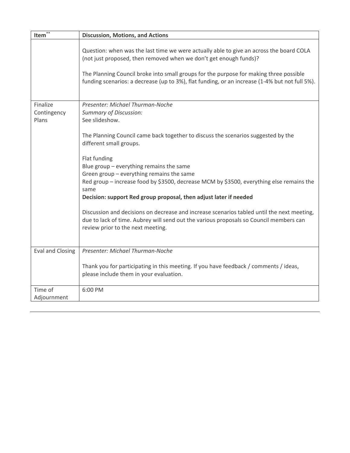| Item $*$                         | <b>Discussion, Motions, and Actions</b>                                                                                                                                                                                                                                                                                                                  |
|----------------------------------|----------------------------------------------------------------------------------------------------------------------------------------------------------------------------------------------------------------------------------------------------------------------------------------------------------------------------------------------------------|
|                                  | Question: when was the last time we were actually able to give an across the board COLA<br>(not just proposed, then removed when we don't get enough funds)?<br>The Planning Council broke into small groups for the purpose for making three possible<br>funding scenarios: a decrease (up to 3%), flat funding, or an increase (1-4% but not full 5%). |
| Finalize<br>Contingency<br>Plans | Presenter: Michael Thurman-Noche<br><b>Summary of Discussion:</b><br>See slideshow.<br>The Planning Council came back together to discuss the scenarios suggested by the<br>different small groups.                                                                                                                                                      |
|                                  | Flat funding<br>Blue group - everything remains the same<br>Green group - everything remains the same<br>Red group - increase food by \$3500, decrease MCM by \$3500, everything else remains the<br>same<br>Decision: support Red group proposal, then adjust later if needed                                                                           |
|                                  | Discussion and decisions on decrease and increase scenarios tabled until the next meeting,<br>due to lack of time. Aubrey will send out the various proposals so Council members can<br>review prior to the next meeting.                                                                                                                                |
| <b>Eval and Closing</b>          | Presenter: Michael Thurman-Noche<br>Thank you for participating in this meeting. If you have feedback / comments / ideas,<br>please include them in your evaluation.                                                                                                                                                                                     |
| Time of<br>Adjournment           | 6:00 PM                                                                                                                                                                                                                                                                                                                                                  |